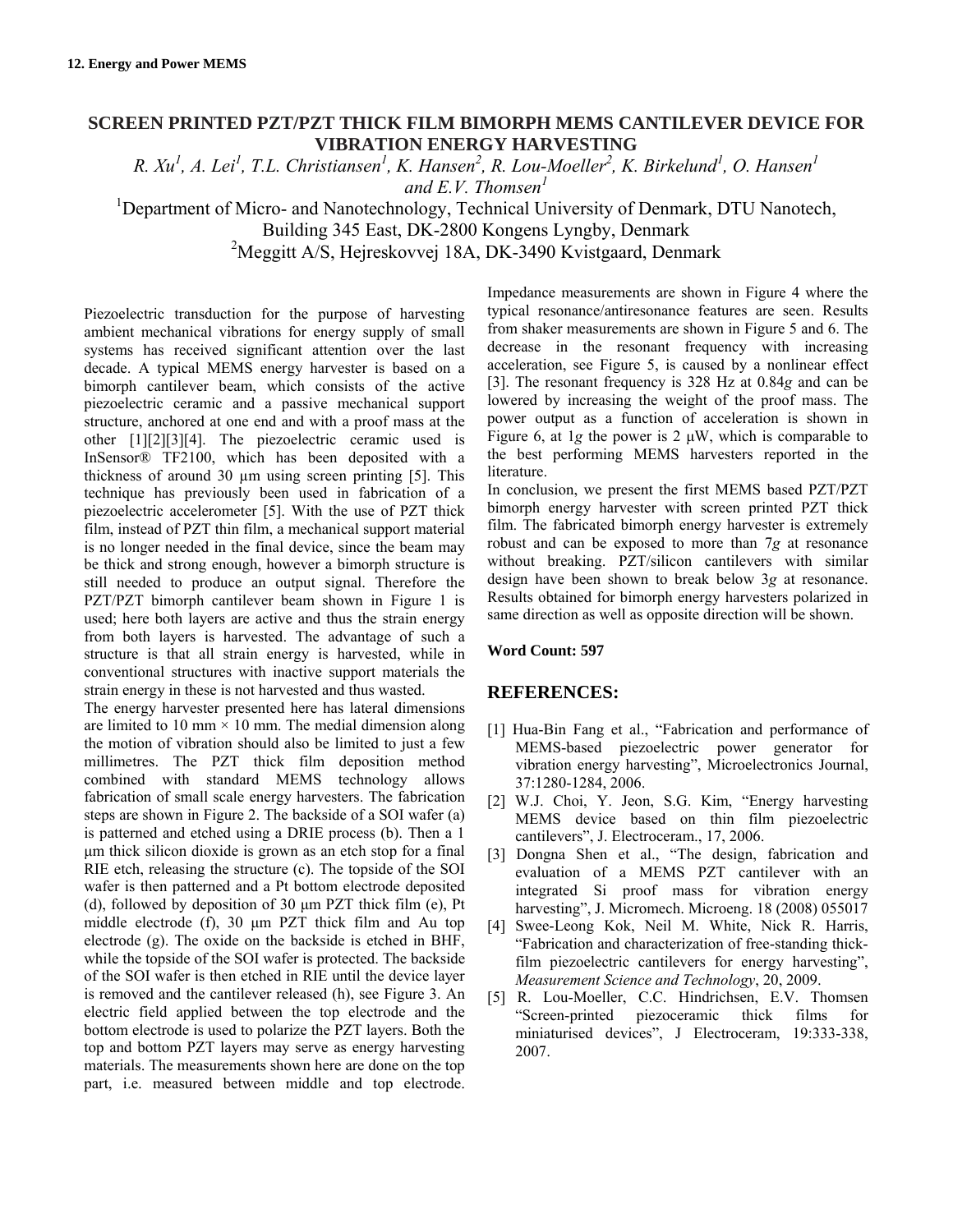## **SCREEN PRINTED PZT/PZT THICK FILM BIMORPH MEMS CANTILEVER DEVICE FOR VIBRATION ENERGY HARVESTING**

*R. Xu<sup>1</sup>, A. Lei<sup>1</sup>, T.L. Christiansen<sup>1</sup>, K. Hansen<sup>2</sup>, R. Lou-Moeller<sup>2</sup>, K. Birkelund<sup>1</sup>, O. Hansen<sup>1</sup> and E.V. Thomsen<sup>1</sup>*

<sup>1</sup>Department of Micro- and Nanotechnology, Technical University of Denmark, DTU Nanotech,

Building 345 East, DK-2800 Kongens Lyngby, Denmark

<sup>2</sup>Meggitt A/S, Hejreskovvej 18A, DK-3490 Kvistgaard, Denmark

Piezoelectric transduction for the purpose of harvesting ambient mechanical vibrations for energy supply of small systems has received significant attention over the last decade. A typical MEMS energy harvester is based on a bimorph cantilever beam, which consists of the active piezoelectric ceramic and a passive mechanical support structure, anchored at one end and with a proof mass at the other [1][2][3][4]. The piezoelectric ceramic used is InSensor® TF2100, which has been deposited with a thickness of around 30 µm using screen printing [5]. This technique has previously been used in fabrication of a piezoelectric accelerometer [5]. With the use of PZT thick film, instead of PZT thin film, a mechanical support material is no longer needed in the final device, since the beam may be thick and strong enough, however a bimorph structure is still needed to produce an output signal. Therefore the PZT/PZT bimorph cantilever beam shown in Figure 1 is used; here both layers are active and thus the strain energy from both layers is harvested. The advantage of such a structure is that all strain energy is harvested, while in conventional structures with inactive support materials the strain energy in these is not harvested and thus wasted.

The energy harvester presented here has lateral dimensions are limited to 10 mm  $\times$  10 mm. The medial dimension along the motion of vibration should also be limited to just a few millimetres. The PZT thick film deposition method combined with standard MEMS technology allows fabrication of small scale energy harvesters. The fabrication steps are shown in Figure 2. The backside of a SOI wafer (a) is patterned and etched using a DRIE process (b). Then a 1 μm thick silicon dioxide is grown as an etch stop for a final RIE etch, releasing the structure (c). The topside of the SOI wafer is then patterned and a Pt bottom electrode deposited (d), followed by deposition of 30 μm PZT thick film (e), Pt middle electrode (f), 30 μm PZT thick film and Au top electrode (g). The oxide on the backside is etched in BHF, while the topside of the SOI wafer is protected. The backside of the SOI wafer is then etched in RIE until the device layer is removed and the cantilever released (h), see Figure 3. An electric field applied between the top electrode and the bottom electrode is used to polarize the PZT layers. Both the top and bottom PZT layers may serve as energy harvesting materials. The measurements shown here are done on the top part, i.e. measured between middle and top electrode. Impedance measurements are shown in Figure 4 where the typical resonance/antiresonance features are seen. Results from shaker measurements are shown in Figure 5 and 6. The decrease in the resonant frequency with increasing acceleration, see Figure 5, is caused by a nonlinear effect [3]. The resonant frequency is 328 Hz at 0.84*g* and can be lowered by increasing the weight of the proof mass. The power output as a function of acceleration is shown in Figure 6, at 1*g* the power is 2 μW, which is comparable to the best performing MEMS harvesters reported in the literature.

In conclusion, we present the first MEMS based PZT/PZT bimorph energy harvester with screen printed PZT thick film. The fabricated bimorph energy harvester is extremely robust and can be exposed to more than 7*g* at resonance without breaking. PZT/silicon cantilevers with similar design have been shown to break below 3*g* at resonance. Results obtained for bimorph energy harvesters polarized in same direction as well as opposite direction will be shown.

## **Word Count: 597**

## **REFERENCES:**

- [1] Hua-Bin Fang et al., "Fabrication and performance of MEMS-based piezoelectric power generator for vibration energy harvesting", Microelectronics Journal, 37:1280-1284, 2006.
- [2] W.J. Choi, Y. Jeon, S.G. Kim, "Energy harvesting MEMS device based on thin film piezoelectric cantilevers", J. Electroceram., 17, 2006.
- [3] Dongna Shen et al., "The design, fabrication and evaluation of a MEMS PZT cantilever with an integrated Si proof mass for vibration energy harvesting", J. Micromech. Microeng. 18 (2008) 055017
- [4] Swee-Leong Kok, Neil M. White, Nick R. Harris, "Fabrication and characterization of free-standing thickfilm piezoelectric cantilevers for energy harvesting", *Measurement Science and Technology*, 20, 2009.
- [5] R. Lou-Moeller, C.C. Hindrichsen, E.V. Thomsen "Screen-printed piezoceramic thick films for miniaturised devices", J Electroceram, 19:333-338, 2007.